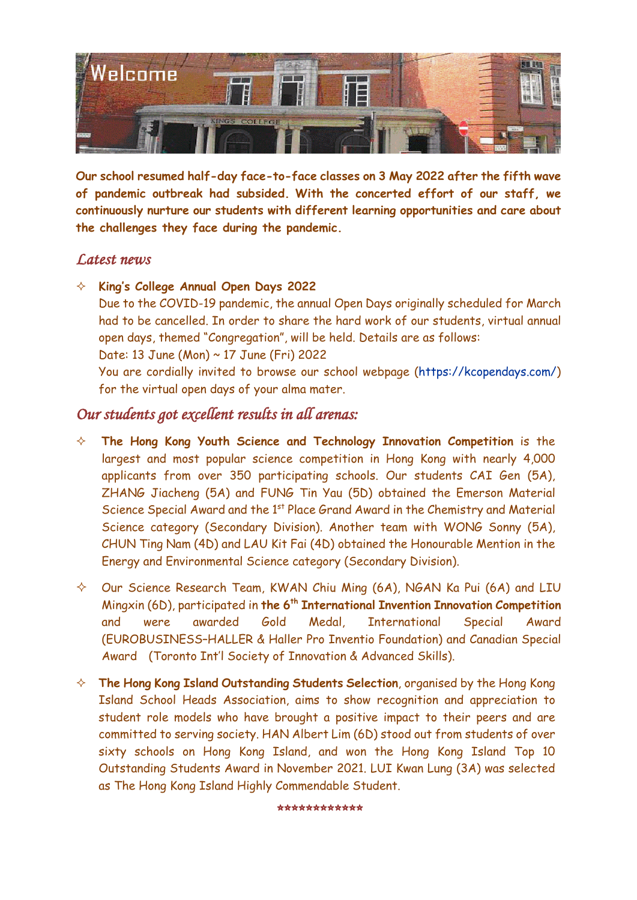

**Our school resumed half-day face-to-face classes on 3 May 2022 after the fifth wave of pandemic outbreak had subsided. With the concerted effort of our staff, we continuously nurture our students with different learning opportunities and care about the challenges they face during the pandemic.**

## *Latest news*

- **King's College Annual Open Days 2022**
	- Due to the COVID-19 pandemic, the annual Open Days originally scheduled for March had to be cancelled. In order to share the hard work of our students, virtual annual open days, themed "Congregation", will be held. Details are as follows:
	- Date: 13 June (Mon) ~ 17 June (Fri) 2022

You are cordially invited to browse our school webpage [\(https://kcopendays.com/\)](https://kcopendays.com/) for the virtual open days of your alma mater.

## *Our students got excellent results in all arenas:*

- **The Hong Kong Youth Science and Technology Innovation Competition** is the largest and most popular science competition in Hong Kong with nearly 4,000 applicants from over 350 participating schools. Our students CAI Gen (5A), ZHANG Jiacheng (5A) and FUNG Tin Yau (5D) obtained the Emerson Material Science Special Award and the 1<sup>st</sup> Place Grand Award in the Chemistry and Material Science category (Secondary Division). Another team with WONG Sonny (5A), CHUN Ting Nam (4D) and LAU Kit Fai (4D) obtained the Honourable Mention in the Energy and Environmental Science category (Secondary Division).
- $\Diamond$  Our Science Research Team, KWAN Chiu Ming (6A), NGAN Ka Pui (6A) and LIU Mingxin (6D), participated in **the 6th International Invention Innovation Competition** and were awarded Gold Medal, International Special Award (EUROBUSINESS–HALLER & Haller Pro Inventio Foundation) and Canadian Special Award (Toronto Int'l Society of Innovation & Advanced Skills).
- **The Hong Kong Island Outstanding Students Selection**, organised by the Hong Kong Island School Heads Association, aims to show recognition and appreciation to student role models who have brought a positive impact to their peers and are committed to serving society. HAN Albert Lim (6D) stood out from students of over sixty schools on Hong Kong Island, and won the Hong Kong Island Top 10 Outstanding Students Award in November 2021. LUI Kwan Lung (3A) was selected as The Hong Kong Island Highly Commendable Student.

*\*\*\*\*\*\*\*\*\*\*\*\**